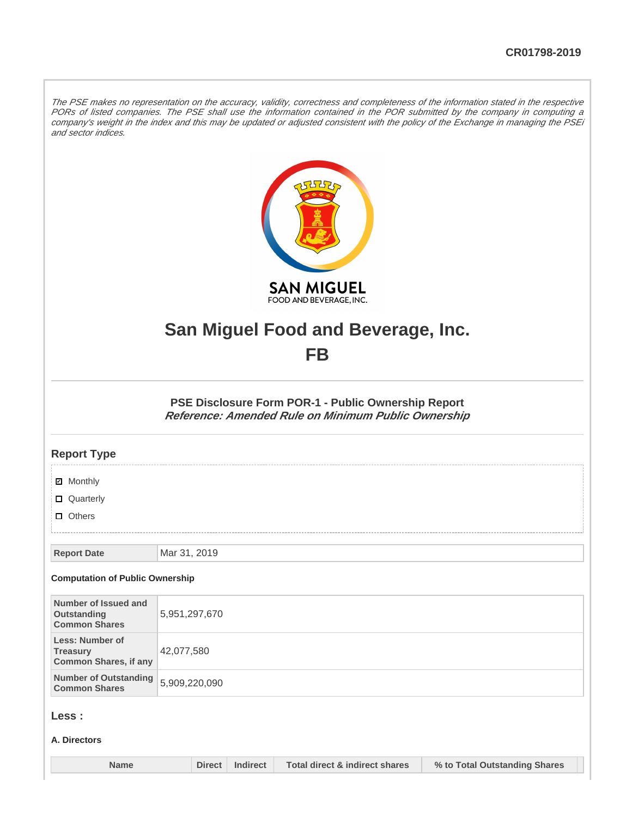The PSE makes no representation on the accuracy, validity, correctness and completeness of the information stated in the respective PORs of listed companies. The PSE shall use the information contained in the POR submitted by the company in computing a company's weight in the index and this may be updated or adjusted consistent with the policy of the Exchange in managing the PSEi and sector indices.



# **San Miguel Food and Beverage, Inc.**

## **FB**

**PSE Disclosure Form POR-1 - Public Ownership Report Reference: Amended Rule on Minimum Public Ownership**

## **Report Type**

| <b>Ø</b> Monthly<br>□ Quarterly                                           |               |               |          |                                           |                               |  |
|---------------------------------------------------------------------------|---------------|---------------|----------|-------------------------------------------|-------------------------------|--|
| $\Box$ Others                                                             |               |               |          |                                           |                               |  |
|                                                                           |               |               |          |                                           |                               |  |
| <b>Report Date</b>                                                        | Mar 31, 2019  |               |          |                                           |                               |  |
| <b>Computation of Public Ownership</b>                                    |               |               |          |                                           |                               |  |
| Number of Issued and<br>Outstanding<br><b>Common Shares</b>               | 5,951,297,670 |               |          |                                           |                               |  |
| <b>Less: Number of</b><br><b>Treasury</b><br><b>Common Shares, if any</b> | 42,077,580    |               |          |                                           |                               |  |
| <b>Number of Outstanding</b><br><b>Common Shares</b>                      | 5,909,220,090 |               |          |                                           |                               |  |
| Less :<br>A. Directors                                                    |               |               |          |                                           |                               |  |
|                                                                           |               |               |          |                                           |                               |  |
| <b>Name</b>                                                               |               | <b>Direct</b> | Indirect | <b>Total direct &amp; indirect shares</b> | % to Total Outstanding Shares |  |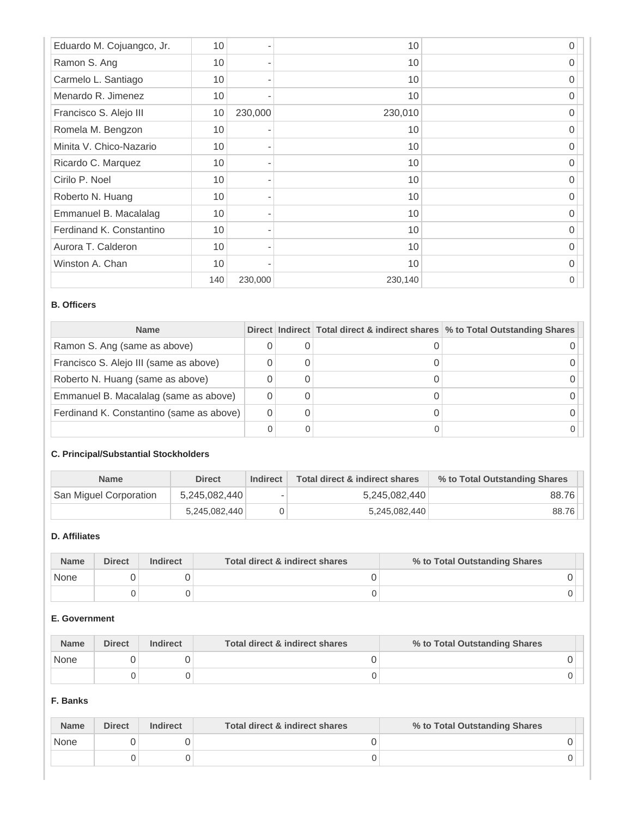| Eduardo M. Cojuangco, Jr. | 10  |         | 10      | O        |
|---------------------------|-----|---------|---------|----------|
| Ramon S. Ang              | 10  |         | 10      | $\Omega$ |
| Carmelo L. Santiago       | 10  |         | 10      | 0        |
| Menardo R. Jimenez        | 10  |         | 10      | 0        |
| Francisco S. Alejo III    | 10  | 230,000 | 230,010 | O        |
| Romela M. Bengzon         | 10  |         | 10      | 0        |
| Minita V. Chico-Nazario   | 10  |         | 10      | 0        |
| Ricardo C. Marquez        | 10  |         | 10      | 0        |
| Cirilo P. Noel            | 10  |         | 10      | O        |
| Roberto N. Huang          | 10  |         | 10      | 0        |
| Emmanuel B. Macalalag     | 10  |         | 10      | O        |
| Ferdinand K. Constantino  | 10  |         | 10      | 0        |
| Aurora T. Calderon        | 10  |         | 10      | O        |
| Winston A. Chan           | 10  |         | 10      | 0        |
|                           | 140 | 230,000 | 230,140 | 0        |

## **B. Officers**

| <b>Name</b>                              |  | Direct Indirect Total direct & indirect shares \% to Total Outstanding Shares |
|------------------------------------------|--|-------------------------------------------------------------------------------|
| Ramon S. Ang (same as above)             |  |                                                                               |
| Francisco S. Alejo III (same as above)   |  |                                                                               |
| Roberto N. Huang (same as above)         |  |                                                                               |
| Emmanuel B. Macalalag (same as above)    |  |                                                                               |
| Ferdinand K. Constantino (same as above) |  |                                                                               |
|                                          |  |                                                                               |

## **C. Principal/Substantial Stockholders**

| <b>Name</b>            | <b>Direct</b> | Indirect                 | <b>Total direct &amp; indirect shares</b> | % to Total Outstanding Shares |
|------------------------|---------------|--------------------------|-------------------------------------------|-------------------------------|
| San Miguel Corporation | 5,245,082,440 | $\overline{\phantom{a}}$ | 5,245,082,440                             | 88.76                         |
|                        | 5,245,082,440 |                          | 5,245,082,440                             | 88.76                         |

## **D. Affiliates**

| <b>Name</b> | <b>Direct</b> | <b>Indirect</b> | Total direct & indirect shares | % to Total Outstanding Shares |
|-------------|---------------|-----------------|--------------------------------|-------------------------------|
| None        |               |                 |                                |                               |
|             |               |                 |                                |                               |

## **E. Government**

| <b>Name</b> | <b>Direct</b> | <b>Indirect</b> | Total direct & indirect shares | % to Total Outstanding Shares |
|-------------|---------------|-----------------|--------------------------------|-------------------------------|
| None        |               |                 |                                |                               |
|             |               |                 |                                |                               |

## **F. Banks**

| <b>Name</b> | <b>Direct</b> | <b>Indirect</b> | Total direct & indirect shares | % to Total Outstanding Shares |
|-------------|---------------|-----------------|--------------------------------|-------------------------------|
| None        |               |                 |                                |                               |
|             |               |                 |                                |                               |